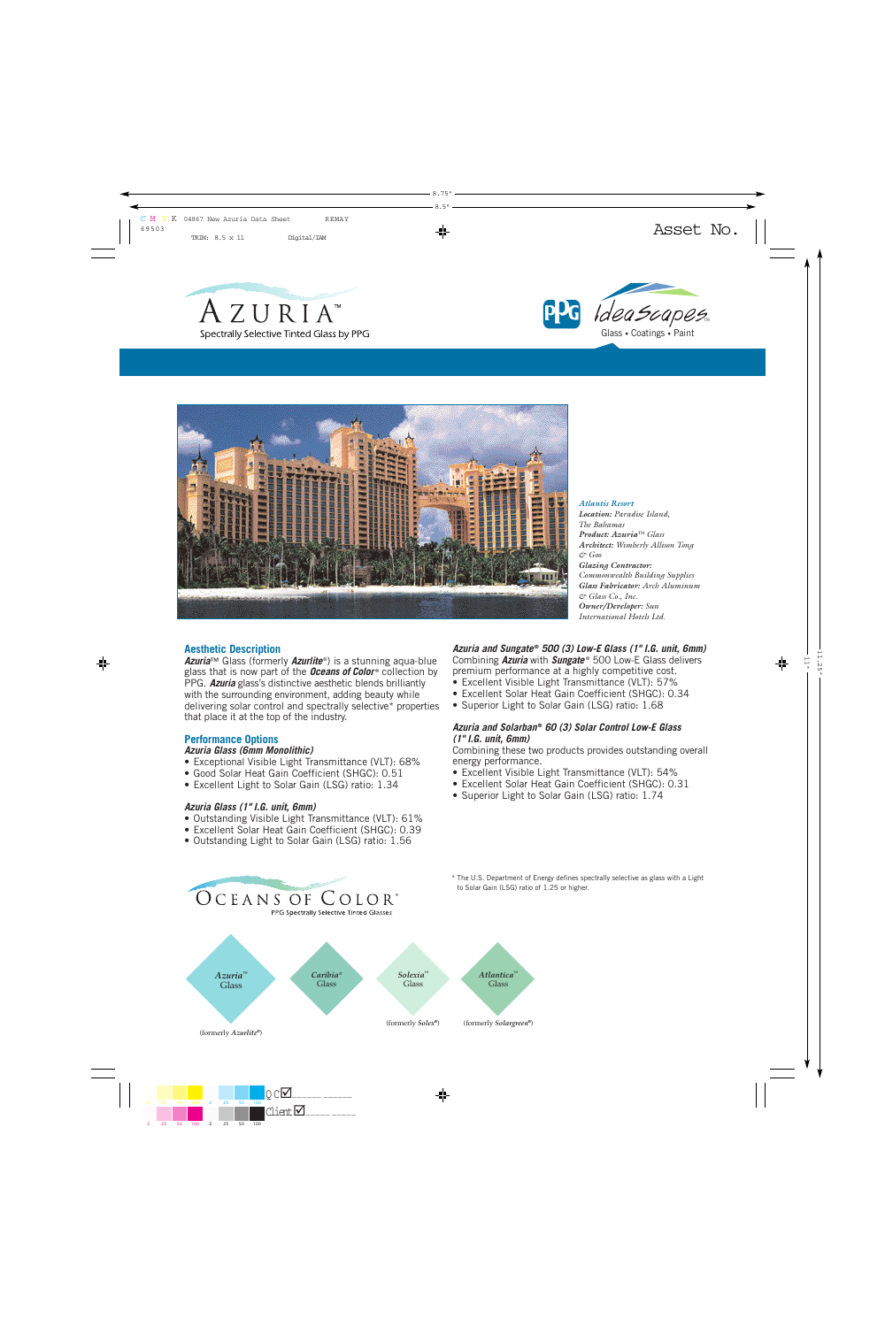





*Atlantis Resort Location: Paradise Island, The Bahamas Product: Azuria™ Glass Architect: Wimberly Allison Tong & Goo Glazing Contractor: Commonwealth Building Supplies Glass Fabricator: Arch Aluminum & Glass Co., Inc. Owner/Developer: Sun International Hotels Ltd.*

# **Aesthetic Description**

**Azuria**™ Glass (formerly **Azurlite**<sup>®</sup>) is a stunning aqua-blue glass that is now part of the **Oceans of Color**<sup>®</sup> collection by PPG. *Azuria* glass's distinctive aesthetic blends brilliantly with the surrounding environment, adding beauty while delivering solar control and spectrally selective\* properties that place it at the top of the industry.

# **Performance Options**

### *Azuria Glass (6mm Monolithic)*

- Exceptional Visible Light Transmittance (VLT): 68%
- Good Solar Heat Gain Coefficient (SHGC): 0.51
- Excellent Light to Solar Gain (LSG) ratio: 1.34

### *Azuria Glass (1" I.G. unit, 6mm)*

- Outstanding Visible Light Transmittance (VLT): 61%
- Excellent Solar Heat Gain Coefficient (SHGC): 0.39
- Outstanding Light to Solar Gain (LSG) ratio: 1.56

OCEANS OF COLOR®

#### *Azuria and Sungate* **®** *500 (3) Low-E Glass (1" I.G. unit, 6mm)* Combining *Azuria* with *Sungate* ® 500 Low-E Glass delivers

- premium performance at a highly competitive cost.
- Excellent Visible Light Transmittance (VLT): 57%
- Excellent Solar Heat Gain Coefficient (SHGC): 0.34
- Superior Light to Solar Gain (LSG) ratio: 1.68

# *Azuria and Solarban* **®** *60 (3) Solar Control Low-E Glass (1" I.G. unit, 6mm)*

Combining these two products provides outstanding overall energy performance.

- Excellent Visible Light Transmittance (VLT): 54%
- Excellent Solar Heat Gain Coefficient (SHGC): 0.31
- Superior Light to Solar Gain (LSG) ratio: 1.74



\* The U.S. Department of Energy defines spectrally selective as glass with a Light to Solar Gain (LSG) ratio of 1.25 or higher.